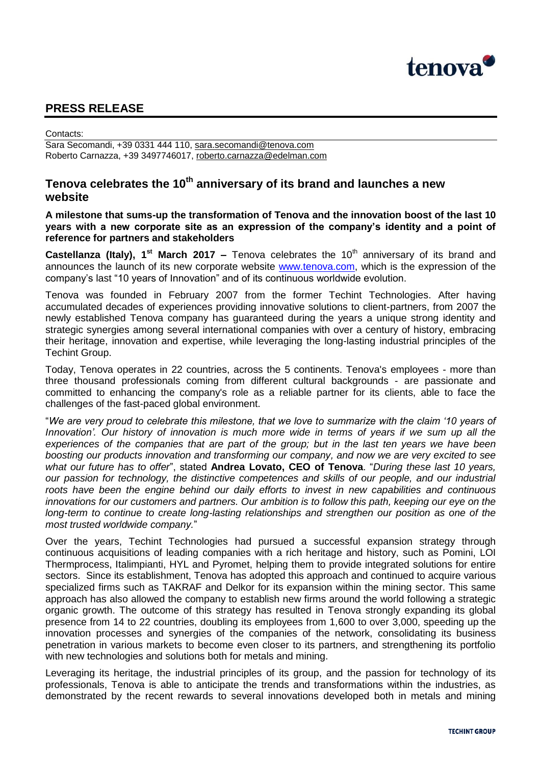

## **PRESS RELEASE**

Contacts:

Sara Secomandi, +39 0331 444 110, [sara.secomandi@tenova.com](mailto:sara.secomandi@tenova.com) Roberto Carnazza, +39 3497746017, [roberto.carnazza@edelman.com](mailto:roberto.carnazza@edelman.com)

## **Tenova celebrates the 10th anniversary of its brand and launches a new website**

**A milestone that sums-up the transformation of Tenova and the innovation boost of the last 10 years with a new corporate site as an expression of the company's identity and a point of reference for partners and stakeholders**

**Castellanza (Italy), 1<sup>st</sup> March 2017 –** Tenova celebrates the 10<sup>th</sup> anniversary of its brand and announces the launch of its new corporate website [www.tenova.com,](http://www.tenova.com/) which is the expression of the company's last "10 years of Innovation" and of its continuous worldwide evolution.

Tenova was founded in February 2007 from the former Techint Technologies. After having accumulated decades of experiences providing innovative solutions to client-partners, from 2007 the newly established Tenova company has guaranteed during the years a unique strong identity and strategic synergies among several international companies with over a century of history, embracing their heritage, innovation and expertise, while leveraging the long-lasting industrial principles of the Techint Group.

Today, Tenova operates in 22 countries, across the 5 continents. Tenova's employees - more than three thousand professionals coming from different cultural backgrounds - are passionate and committed to enhancing the company's role as a reliable partner for its clients, able to face the challenges of the fast-paced global environment.

"*We are very proud to celebrate this milestone, that we love to summarize with the claim '10 years of Innovation'. Our history of innovation is much more wide in terms of years if we sum up all the experiences of the companies that are part of the group; but in the last ten years we have been boosting our products innovation and transforming our company, and now we are very excited to see what our future has to offer*", stated **Andrea Lovato, CEO of Tenova**. "*During these last 10 years, our passion for technology, the distinctive competences and skills of our people, and our industrial roots have been the engine behind our daily efforts to invest in new capabilities and continuous innovations for our customers and partners. Our ambition is to follow this path, keeping our eye on the long-term to continue to create long-lasting relationships and strengthen our position as one of the most trusted worldwide company.*"

Over the years, Techint Technologies had pursued a successful expansion strategy through continuous acquisitions of leading companies with a rich heritage and history, such as Pomini, LOI Thermprocess, Italimpianti, HYL and Pyromet, helping them to provide integrated solutions for entire sectors. Since its establishment, Tenova has adopted this approach and continued to acquire various specialized firms such as TAKRAF and Delkor for its expansion within the mining sector. This same approach has also allowed the company to establish new firms around the world following a strategic organic growth. The outcome of this strategy has resulted in Tenova strongly expanding its global presence from 14 to 22 countries, doubling its employees from 1,600 to over 3,000, speeding up the innovation processes and synergies of the companies of the network, consolidating its business penetration in various markets to become even closer to its partners, and strengthening its portfolio with new technologies and solutions both for metals and mining.

Leveraging its heritage, the industrial principles of its group, and the passion for technology of its professionals, Tenova is able to anticipate the trends and transformations within the industries, as demonstrated by the recent rewards to several innovations developed both in metals and mining